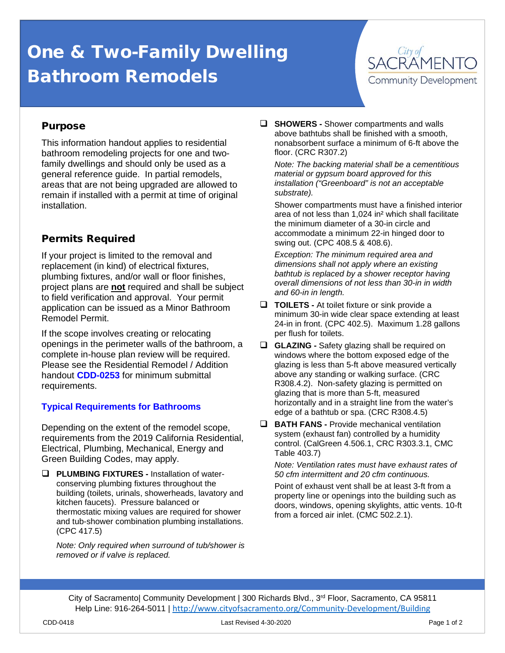# One & Two-Family Dwelling Bathroom Remodels



## Purpose

This information handout applies to residential bathroom remodeling projects for one and twofamily dwellings and should only be used as a general reference guide. In partial remodels, areas that are not being upgraded are allowed to remain if installed with a permit at time of original installation.

## Permits Required

If your project is limited to the removal and replacement (in kind) of electrical fixtures, plumbing fixtures, and/or wall or floor finishes, project plans are **not** required and shall be subject to field verification and approval. Your permit application can be issued as a Minor Bathroom Remodel Permit.

If the scope involves creating or relocating openings in the perimeter walls of the bathroom, a complete in-house plan review will be required. Please see the Residential Remodel / Addition handout **CDD-0253** for minimum submittal requirements.

### **Typical Requirements for Bathrooms**

Depending on the extent of the remodel scope, requirements from the 2019 California Residential, Electrical, Plumbing, Mechanical, Energy and Green Building Codes, may apply.

 **PLUMBING FIXTURES -** Installation of waterconserving plumbing fixtures throughout the building (toilets, urinals, showerheads, lavatory and kitchen faucets). Pressure balanced or thermostatic mixing values are required for shower and tub-shower combination plumbing installations. (CPC 417.5)

*Note: Only required when surround of tub/shower is removed or if valve is replaced.*

 **SHOWERS -** Shower compartments and walls above bathtubs shall be finished with a smooth, nonabsorbent surface a minimum of 6-ft above the floor. (CRC R307.2)

*Note: The backing material shall be a cementitious material or gypsum board approved for this installation ("Greenboard" is not an acceptable substrate).*

Shower compartments must have a finished interior area of not less than 1,024 in² which shall facilitate the minimum diameter of a 30-in circle and accommodate a minimum 22-in hinged door to swing out. (CPC 408.5 & 408.6).

*Exception: The minimum required area and dimensions shall not apply where an existing bathtub is replaced by a shower receptor having overall dimensions of not less than 30-in in width and 60-in in length.*

- **TOILETS** At toilet fixture or sink provide a minimum 30-in wide clear space extending at least 24-in in front. (CPC 402.5). Maximum 1.28 gallons per flush for toilets.
- **GLAZING -** Safety glazing shall be required on windows where the bottom exposed edge of the glazing is less than 5-ft above measured vertically above any standing or walking surface. (CRC R308.4.2). Non-safety glazing is permitted on glazing that is more than 5-ft, measured horizontally and in a straight line from the water's edge of a bathtub or spa. (CRC R308.4.5)
- **BATH FANS -** Provide mechanical ventilation system (exhaust fan) controlled by a humidity control. (CalGreen 4.506.1, CRC R303.3.1, CMC Table 403.7)

*Note: Ventilation rates must have exhaust rates of 50 cfm intermittent and 20 cfm continuous.*

Point of exhaust vent shall be at least 3-ft from a property line or openings into the building such as doors, windows, opening skylights, attic vents. 10-ft from a forced air inlet. (CMC 502.2.1).

City of Sacramento| Community Development | 300 Richards Blvd., 3<sup>rd</sup> Floor, Sacramento, CA 95811 Help Line: 916-264-5011 | <http://www.cityofsacramento.org/Community-Development/Building>